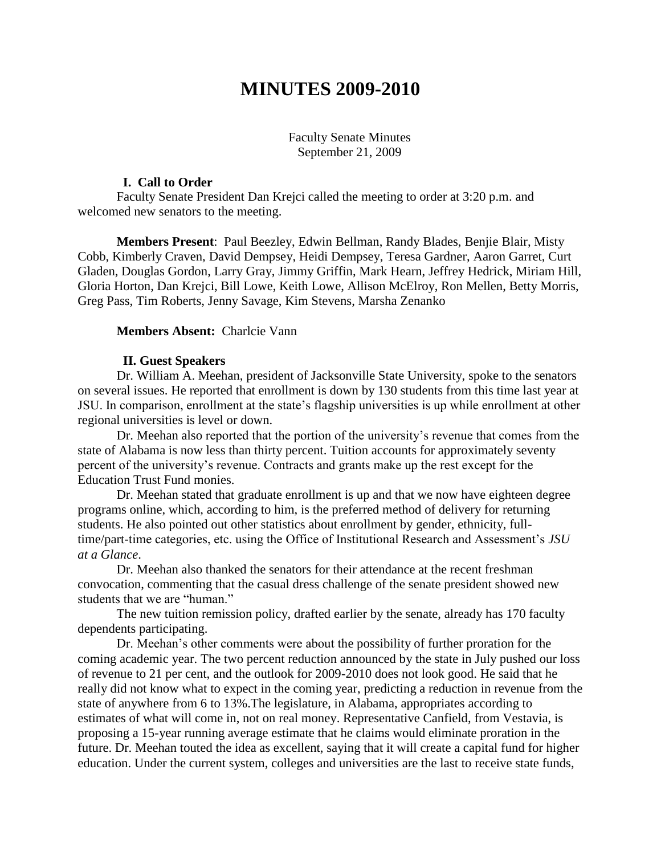# **MINUTES 2009-2010**

Faculty Senate Minutes September 21, 2009

#### **I. Call to Order**

Faculty Senate President Dan Krejci called the meeting to order at 3:20 p.m. and welcomed new senators to the meeting.

**Members Present**: Paul Beezley, Edwin Bellman, Randy Blades, Benjie Blair, Misty Cobb, Kimberly Craven, David Dempsey, Heidi Dempsey, Teresa Gardner, Aaron Garret, Curt Gladen, Douglas Gordon, Larry Gray, Jimmy Griffin, Mark Hearn, Jeffrey Hedrick, Miriam Hill, Gloria Horton, Dan Krejci, Bill Lowe, Keith Lowe, Allison McElroy, Ron Mellen, Betty Morris, Greg Pass, Tim Roberts, Jenny Savage, Kim Stevens, Marsha Zenanko

#### **Members Absent:** Charlcie Vann

#### **II. Guest Speakers**

Dr. William A. Meehan, president of Jacksonville State University, spoke to the senators on several issues. He reported that enrollment is down by 130 students from this time last year at JSU. In comparison, enrollment at the state's flagship universities is up while enrollment at other regional universities is level or down.

Dr. Meehan also reported that the portion of the university's revenue that comes from the state of Alabama is now less than thirty percent. Tuition accounts for approximately seventy percent of the university's revenue. Contracts and grants make up the rest except for the Education Trust Fund monies.

Dr. Meehan stated that graduate enrollment is up and that we now have eighteen degree programs online, which, according to him, is the preferred method of delivery for returning students. He also pointed out other statistics about enrollment by gender, ethnicity, fulltime/part-time categories, etc. using the Office of Institutional Research and Assessment's *JSU at a Glance*.

Dr. Meehan also thanked the senators for their attendance at the recent freshman convocation, commenting that the casual dress challenge of the senate president showed new students that we are "human."

The new tuition remission policy, drafted earlier by the senate, already has 170 faculty dependents participating.

Dr. Meehan's other comments were about the possibility of further proration for the coming academic year. The two percent reduction announced by the state in July pushed our loss of revenue to 21 per cent, and the outlook for 2009-2010 does not look good. He said that he really did not know what to expect in the coming year, predicting a reduction in revenue from the state of anywhere from 6 to 13%.The legislature, in Alabama, appropriates according to estimates of what will come in, not on real money. Representative Canfield, from Vestavia, is proposing a 15-year running average estimate that he claims would eliminate proration in the future. Dr. Meehan touted the idea as excellent, saying that it will create a capital fund for higher education. Under the current system, colleges and universities are the last to receive state funds,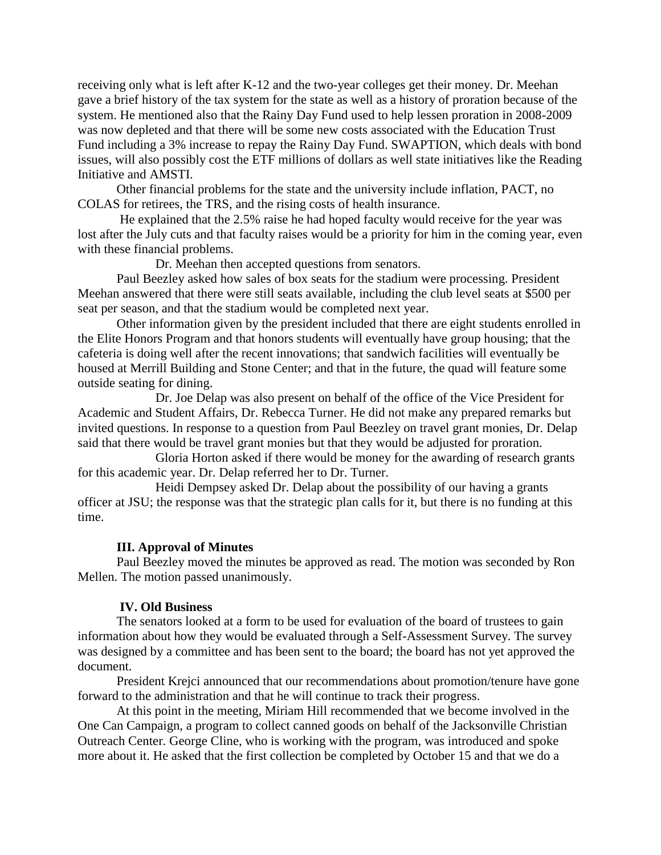receiving only what is left after K-12 and the two-year colleges get their money. Dr. Meehan gave a brief history of the tax system for the state as well as a history of proration because of the system. He mentioned also that the Rainy Day Fund used to help lessen proration in 2008-2009 was now depleted and that there will be some new costs associated with the Education Trust Fund including a 3% increase to repay the Rainy Day Fund. SWAPTION, which deals with bond issues, will also possibly cost the ETF millions of dollars as well state initiatives like the Reading Initiative and AMSTI.

Other financial problems for the state and the university include inflation, PACT, no COLAS for retirees, the TRS, and the rising costs of health insurance.

He explained that the 2.5% raise he had hoped faculty would receive for the year was lost after the July cuts and that faculty raises would be a priority for him in the coming year, even with these financial problems.

Dr. Meehan then accepted questions from senators.

Paul Beezley asked how sales of box seats for the stadium were processing. President Meehan answered that there were still seats available, including the club level seats at \$500 per seat per season, and that the stadium would be completed next year.

Other information given by the president included that there are eight students enrolled in the Elite Honors Program and that honors students will eventually have group housing; that the cafeteria is doing well after the recent innovations; that sandwich facilities will eventually be housed at Merrill Building and Stone Center; and that in the future, the quad will feature some outside seating for dining.

Dr. Joe Delap was also present on behalf of the office of the Vice President for Academic and Student Affairs, Dr. Rebecca Turner. He did not make any prepared remarks but invited questions. In response to a question from Paul Beezley on travel grant monies, Dr. Delap said that there would be travel grant monies but that they would be adjusted for proration.

Gloria Horton asked if there would be money for the awarding of research grants for this academic year. Dr. Delap referred her to Dr. Turner.

Heidi Dempsey asked Dr. Delap about the possibility of our having a grants officer at JSU; the response was that the strategic plan calls for it, but there is no funding at this time.

## **III. Approval of Minutes**

Paul Beezley moved the minutes be approved as read. The motion was seconded by Ron Mellen. The motion passed unanimously.

#### **IV. Old Business**

The senators looked at a form to be used for evaluation of the board of trustees to gain information about how they would be evaluated through a Self-Assessment Survey. The survey was designed by a committee and has been sent to the board; the board has not yet approved the document.

President Krejci announced that our recommendations about promotion/tenure have gone forward to the administration and that he will continue to track their progress.

At this point in the meeting, Miriam Hill recommended that we become involved in the One Can Campaign, a program to collect canned goods on behalf of the Jacksonville Christian Outreach Center. George Cline, who is working with the program, was introduced and spoke more about it. He asked that the first collection be completed by October 15 and that we do a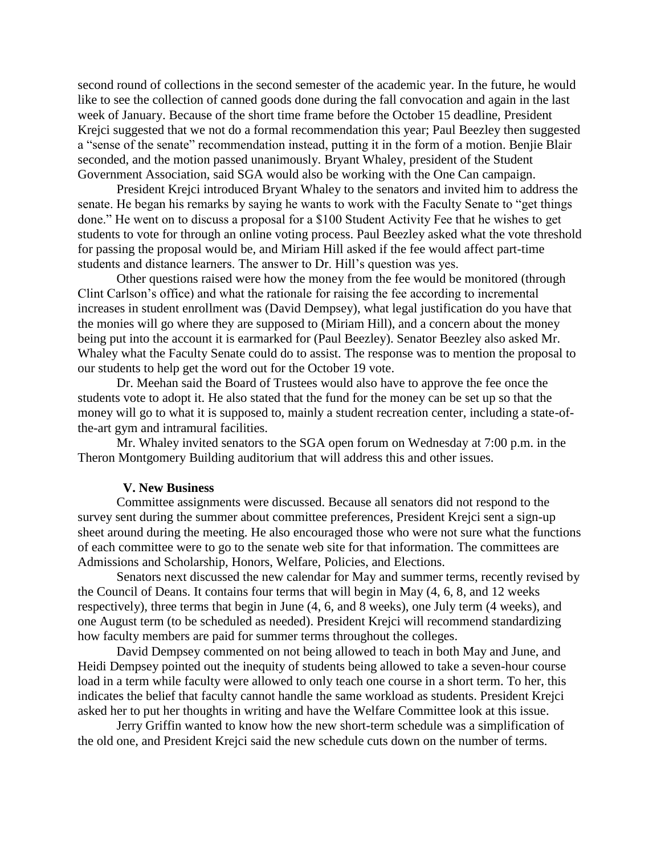second round of collections in the second semester of the academic year. In the future, he would like to see the collection of canned goods done during the fall convocation and again in the last week of January. Because of the short time frame before the October 15 deadline, President Krejci suggested that we not do a formal recommendation this year; Paul Beezley then suggested a "sense of the senate" recommendation instead, putting it in the form of a motion. Benjie Blair seconded, and the motion passed unanimously. Bryant Whaley, president of the Student Government Association, said SGA would also be working with the One Can campaign.

President Krejci introduced Bryant Whaley to the senators and invited him to address the senate. He began his remarks by saying he wants to work with the Faculty Senate to "get things done." He went on to discuss a proposal for a \$100 Student Activity Fee that he wishes to get students to vote for through an online voting process. Paul Beezley asked what the vote threshold for passing the proposal would be, and Miriam Hill asked if the fee would affect part-time students and distance learners. The answer to Dr. Hill's question was yes.

Other questions raised were how the money from the fee would be monitored (through Clint Carlson's office) and what the rationale for raising the fee according to incremental increases in student enrollment was (David Dempsey), what legal justification do you have that the monies will go where they are supposed to (Miriam Hill), and a concern about the money being put into the account it is earmarked for (Paul Beezley). Senator Beezley also asked Mr. Whaley what the Faculty Senate could do to assist. The response was to mention the proposal to our students to help get the word out for the October 19 vote.

Dr. Meehan said the Board of Trustees would also have to approve the fee once the students vote to adopt it. He also stated that the fund for the money can be set up so that the money will go to what it is supposed to, mainly a student recreation center, including a state-ofthe-art gym and intramural facilities.

Mr. Whaley invited senators to the SGA open forum on Wednesday at 7:00 p.m. in the Theron Montgomery Building auditorium that will address this and other issues.

#### **V. New Business**

Committee assignments were discussed. Because all senators did not respond to the survey sent during the summer about committee preferences, President Krejci sent a sign-up sheet around during the meeting. He also encouraged those who were not sure what the functions of each committee were to go to the senate web site for that information. The committees are Admissions and Scholarship, Honors, Welfare, Policies, and Elections.

Senators next discussed the new calendar for May and summer terms, recently revised by the Council of Deans. It contains four terms that will begin in May (4, 6, 8, and 12 weeks respectively), three terms that begin in June (4, 6, and 8 weeks), one July term (4 weeks), and one August term (to be scheduled as needed). President Krejci will recommend standardizing how faculty members are paid for summer terms throughout the colleges.

David Dempsey commented on not being allowed to teach in both May and June, and Heidi Dempsey pointed out the inequity of students being allowed to take a seven-hour course load in a term while faculty were allowed to only teach one course in a short term. To her, this indicates the belief that faculty cannot handle the same workload as students. President Krejci asked her to put her thoughts in writing and have the Welfare Committee look at this issue.

Jerry Griffin wanted to know how the new short-term schedule was a simplification of the old one, and President Krejci said the new schedule cuts down on the number of terms.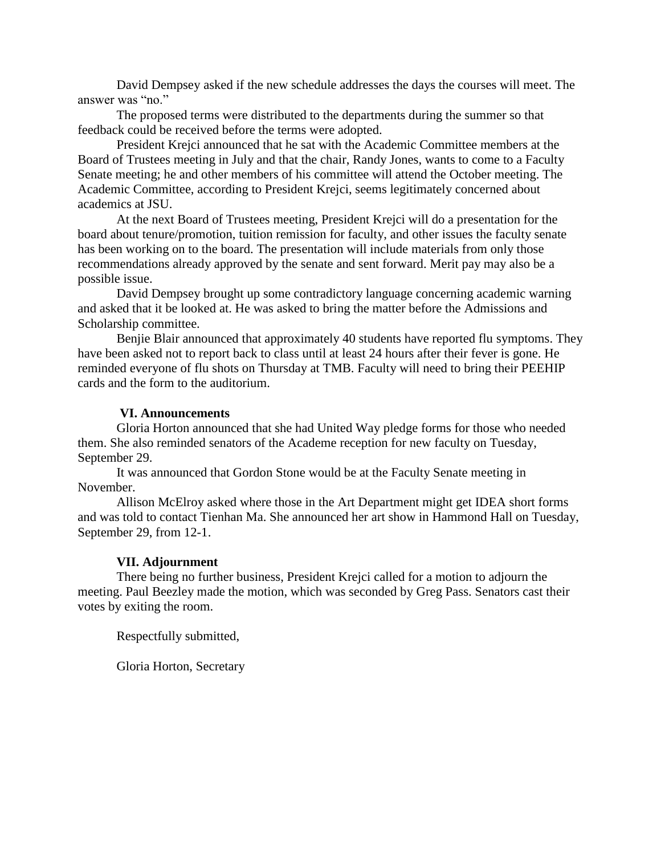David Dempsey asked if the new schedule addresses the days the courses will meet. The answer was "no."

The proposed terms were distributed to the departments during the summer so that feedback could be received before the terms were adopted.

President Krejci announced that he sat with the Academic Committee members at the Board of Trustees meeting in July and that the chair, Randy Jones, wants to come to a Faculty Senate meeting; he and other members of his committee will attend the October meeting. The Academic Committee, according to President Krejci, seems legitimately concerned about academics at JSU.

At the next Board of Trustees meeting, President Krejci will do a presentation for the board about tenure/promotion, tuition remission for faculty, and other issues the faculty senate has been working on to the board. The presentation will include materials from only those recommendations already approved by the senate and sent forward. Merit pay may also be a possible issue.

David Dempsey brought up some contradictory language concerning academic warning and asked that it be looked at. He was asked to bring the matter before the Admissions and Scholarship committee.

Benjie Blair announced that approximately 40 students have reported flu symptoms. They have been asked not to report back to class until at least 24 hours after their fever is gone. He reminded everyone of flu shots on Thursday at TMB. Faculty will need to bring their PEEHIP cards and the form to the auditorium.

#### **VI. Announcements**

Gloria Horton announced that she had United Way pledge forms for those who needed them. She also reminded senators of the Academe reception for new faculty on Tuesday, September 29.

It was announced that Gordon Stone would be at the Faculty Senate meeting in November.

Allison McElroy asked where those in the Art Department might get IDEA short forms and was told to contact Tienhan Ma. She announced her art show in Hammond Hall on Tuesday, September 29, from 12-1.

#### **VII. Adjournment**

There being no further business, President Krejci called for a motion to adjourn the meeting. Paul Beezley made the motion, which was seconded by Greg Pass. Senators cast their votes by exiting the room.

Respectfully submitted,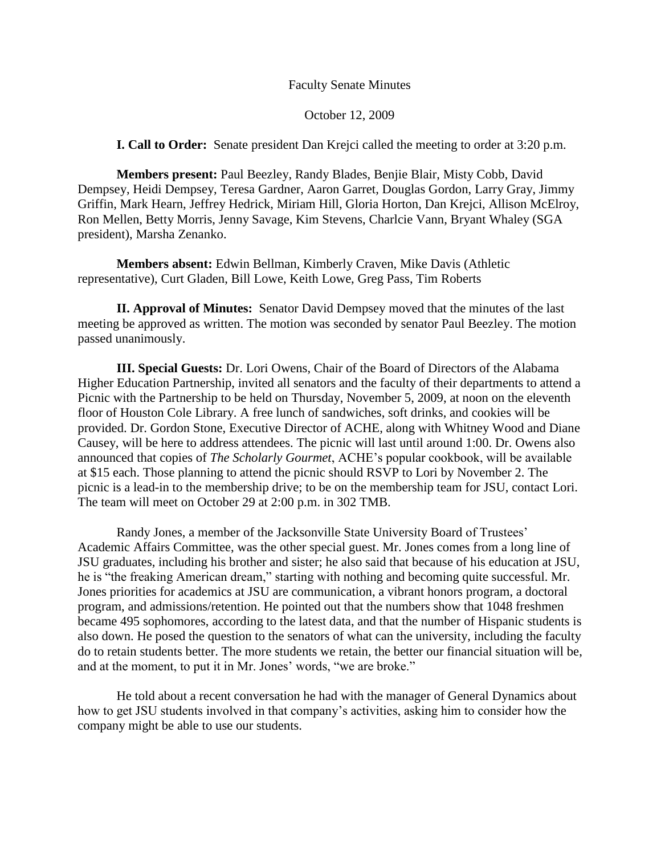#### Faculty Senate Minutes

#### October 12, 2009

**I. Call to Order:** Senate president Dan Krejci called the meeting to order at 3:20 p.m.

**Members present:** Paul Beezley, Randy Blades, Benjie Blair, Misty Cobb, David Dempsey, Heidi Dempsey, Teresa Gardner, Aaron Garret, Douglas Gordon, Larry Gray, Jimmy Griffin, Mark Hearn, Jeffrey Hedrick, Miriam Hill, Gloria Horton, Dan Krejci, Allison McElroy, Ron Mellen, Betty Morris, Jenny Savage, Kim Stevens, Charlcie Vann, Bryant Whaley (SGA president), Marsha Zenanko.

**Members absent:** Edwin Bellman, Kimberly Craven, Mike Davis (Athletic representative), Curt Gladen, Bill Lowe, Keith Lowe, Greg Pass, Tim Roberts

**II. Approval of Minutes:** Senator David Dempsey moved that the minutes of the last meeting be approved as written. The motion was seconded by senator Paul Beezley. The motion passed unanimously.

**III. Special Guests:** Dr. Lori Owens, Chair of the Board of Directors of the Alabama Higher Education Partnership, invited all senators and the faculty of their departments to attend a Picnic with the Partnership to be held on Thursday, November 5, 2009, at noon on the eleventh floor of Houston Cole Library. A free lunch of sandwiches, soft drinks, and cookies will be provided. Dr. Gordon Stone, Executive Director of ACHE, along with Whitney Wood and Diane Causey, will be here to address attendees. The picnic will last until around 1:00. Dr. Owens also announced that copies of *The Scholarly Gourmet*, ACHE's popular cookbook, will be available at \$15 each. Those planning to attend the picnic should RSVP to Lori by November 2. The picnic is a lead-in to the membership drive; to be on the membership team for JSU, contact Lori. The team will meet on October 29 at 2:00 p.m. in 302 TMB.

Randy Jones, a member of the Jacksonville State University Board of Trustees' Academic Affairs Committee, was the other special guest. Mr. Jones comes from a long line of JSU graduates, including his brother and sister; he also said that because of his education at JSU, he is "the freaking American dream," starting with nothing and becoming quite successful. Mr. Jones priorities for academics at JSU are communication, a vibrant honors program, a doctoral program, and admissions/retention. He pointed out that the numbers show that 1048 freshmen became 495 sophomores, according to the latest data, and that the number of Hispanic students is also down. He posed the question to the senators of what can the university, including the faculty do to retain students better. The more students we retain, the better our financial situation will be, and at the moment, to put it in Mr. Jones' words, "we are broke."

He told about a recent conversation he had with the manager of General Dynamics about how to get JSU students involved in that company's activities, asking him to consider how the company might be able to use our students.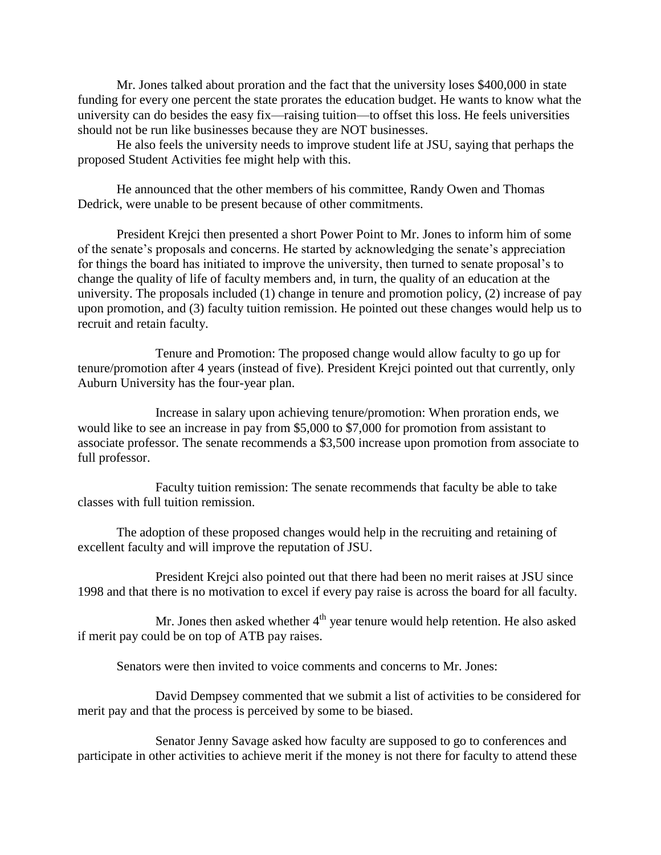Mr. Jones talked about proration and the fact that the university loses \$400,000 in state funding for every one percent the state prorates the education budget. He wants to know what the university can do besides the easy fix—raising tuition—to offset this loss. He feels universities should not be run like businesses because they are NOT businesses.

He also feels the university needs to improve student life at JSU, saying that perhaps the proposed Student Activities fee might help with this.

He announced that the other members of his committee, Randy Owen and Thomas Dedrick, were unable to be present because of other commitments.

President Krejci then presented a short Power Point to Mr. Jones to inform him of some of the senate's proposals and concerns. He started by acknowledging the senate's appreciation for things the board has initiated to improve the university, then turned to senate proposal's to change the quality of life of faculty members and, in turn, the quality of an education at the university. The proposals included (1) change in tenure and promotion policy, (2) increase of pay upon promotion, and (3) faculty tuition remission. He pointed out these changes would help us to recruit and retain faculty.

Tenure and Promotion: The proposed change would allow faculty to go up for tenure/promotion after 4 years (instead of five). President Krejci pointed out that currently, only Auburn University has the four-year plan.

Increase in salary upon achieving tenure/promotion: When proration ends, we would like to see an increase in pay from \$5,000 to \$7,000 for promotion from assistant to associate professor. The senate recommends a \$3,500 increase upon promotion from associate to full professor.

Faculty tuition remission: The senate recommends that faculty be able to take classes with full tuition remission.

The adoption of these proposed changes would help in the recruiting and retaining of excellent faculty and will improve the reputation of JSU.

President Krejci also pointed out that there had been no merit raises at JSU since 1998 and that there is no motivation to excel if every pay raise is across the board for all faculty.

Mr. Jones then asked whether  $4<sup>th</sup>$  year tenure would help retention. He also asked if merit pay could be on top of ATB pay raises.

Senators were then invited to voice comments and concerns to Mr. Jones:

David Dempsey commented that we submit a list of activities to be considered for merit pay and that the process is perceived by some to be biased.

Senator Jenny Savage asked how faculty are supposed to go to conferences and participate in other activities to achieve merit if the money is not there for faculty to attend these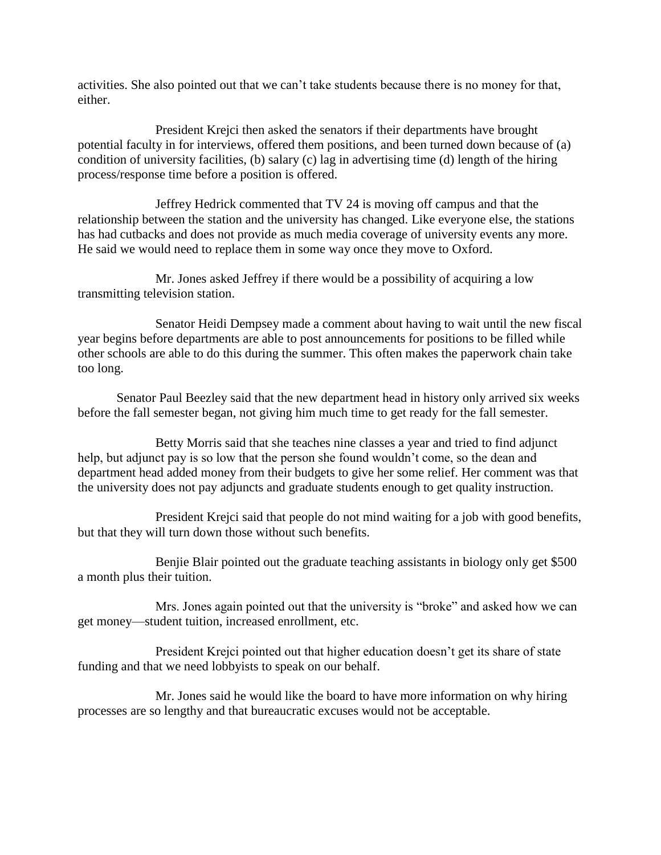activities. She also pointed out that we can't take students because there is no money for that, either.

President Krejci then asked the senators if their departments have brought potential faculty in for interviews, offered them positions, and been turned down because of (a) condition of university facilities, (b) salary (c) lag in advertising time (d) length of the hiring process/response time before a position is offered.

Jeffrey Hedrick commented that TV 24 is moving off campus and that the relationship between the station and the university has changed. Like everyone else, the stations has had cutbacks and does not provide as much media coverage of university events any more. He said we would need to replace them in some way once they move to Oxford.

Mr. Jones asked Jeffrey if there would be a possibility of acquiring a low transmitting television station.

Senator Heidi Dempsey made a comment about having to wait until the new fiscal year begins before departments are able to post announcements for positions to be filled while other schools are able to do this during the summer. This often makes the paperwork chain take too long.

Senator Paul Beezley said that the new department head in history only arrived six weeks before the fall semester began, not giving him much time to get ready for the fall semester.

Betty Morris said that she teaches nine classes a year and tried to find adjunct help, but adjunct pay is so low that the person she found wouldn't come, so the dean and department head added money from their budgets to give her some relief. Her comment was that the university does not pay adjuncts and graduate students enough to get quality instruction.

President Krejci said that people do not mind waiting for a job with good benefits, but that they will turn down those without such benefits.

Benjie Blair pointed out the graduate teaching assistants in biology only get \$500 a month plus their tuition.

Mrs. Jones again pointed out that the university is "broke" and asked how we can get money—student tuition, increased enrollment, etc.

President Krejci pointed out that higher education doesn't get its share of state funding and that we need lobbyists to speak on our behalf.

Mr. Jones said he would like the board to have more information on why hiring processes are so lengthy and that bureaucratic excuses would not be acceptable.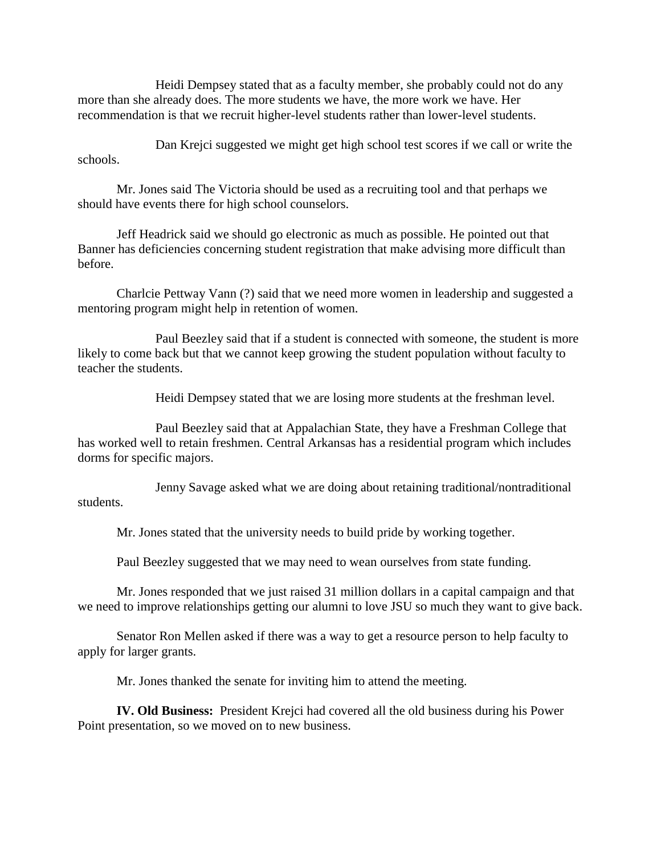Heidi Dempsey stated that as a faculty member, she probably could not do any more than she already does. The more students we have, the more work we have. Her recommendation is that we recruit higher-level students rather than lower-level students.

Dan Krejci suggested we might get high school test scores if we call or write the schools.

Mr. Jones said The Victoria should be used as a recruiting tool and that perhaps we should have events there for high school counselors.

Jeff Headrick said we should go electronic as much as possible. He pointed out that Banner has deficiencies concerning student registration that make advising more difficult than before.

Charlcie Pettway Vann (?) said that we need more women in leadership and suggested a mentoring program might help in retention of women.

Paul Beezley said that if a student is connected with someone, the student is more likely to come back but that we cannot keep growing the student population without faculty to teacher the students.

Heidi Dempsey stated that we are losing more students at the freshman level.

Paul Beezley said that at Appalachian State, they have a Freshman College that has worked well to retain freshmen. Central Arkansas has a residential program which includes dorms for specific majors.

Jenny Savage asked what we are doing about retaining traditional/nontraditional students.

Mr. Jones stated that the university needs to build pride by working together.

Paul Beezley suggested that we may need to wean ourselves from state funding.

Mr. Jones responded that we just raised 31 million dollars in a capital campaign and that we need to improve relationships getting our alumni to love JSU so much they want to give back.

Senator Ron Mellen asked if there was a way to get a resource person to help faculty to apply for larger grants.

Mr. Jones thanked the senate for inviting him to attend the meeting.

**IV. Old Business:** President Krejci had covered all the old business during his Power Point presentation, so we moved on to new business.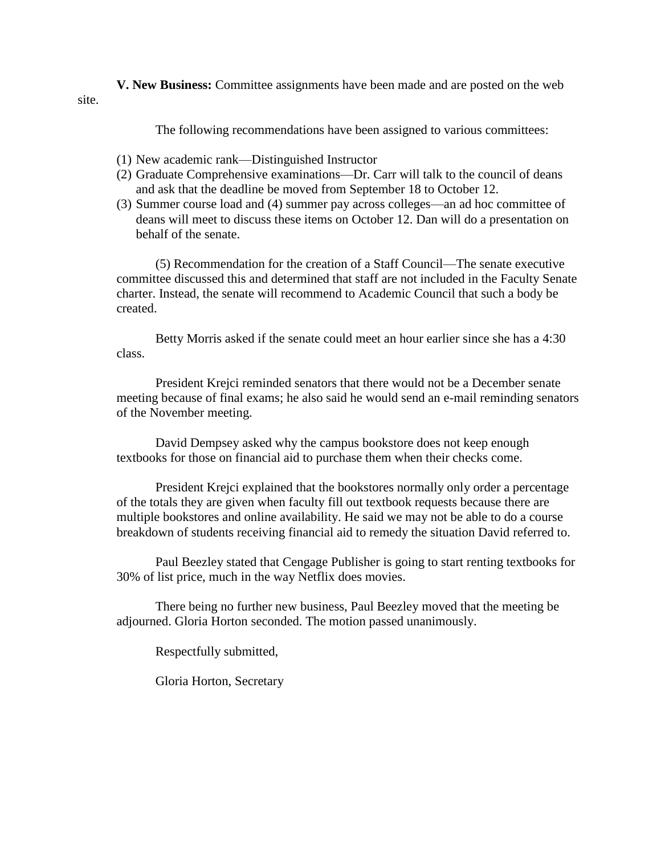**V. New Business:** Committee assignments have been made and are posted on the web site.

The following recommendations have been assigned to various committees:

- (1) New academic rank—Distinguished Instructor
- (2) Graduate Comprehensive examinations—Dr. Carr will talk to the council of deans and ask that the deadline be moved from September 18 to October 12.
- (3) Summer course load and (4) summer pay across colleges—an ad hoc committee of deans will meet to discuss these items on October 12. Dan will do a presentation on behalf of the senate.

(5) Recommendation for the creation of a Staff Council—The senate executive committee discussed this and determined that staff are not included in the Faculty Senate charter. Instead, the senate will recommend to Academic Council that such a body be created.

Betty Morris asked if the senate could meet an hour earlier since she has a 4:30 class.

President Krejci reminded senators that there would not be a December senate meeting because of final exams; he also said he would send an e-mail reminding senators of the November meeting.

David Dempsey asked why the campus bookstore does not keep enough textbooks for those on financial aid to purchase them when their checks come.

President Krejci explained that the bookstores normally only order a percentage of the totals they are given when faculty fill out textbook requests because there are multiple bookstores and online availability. He said we may not be able to do a course breakdown of students receiving financial aid to remedy the situation David referred to.

Paul Beezley stated that Cengage Publisher is going to start renting textbooks for 30% of list price, much in the way Netflix does movies.

There being no further new business, Paul Beezley moved that the meeting be adjourned. Gloria Horton seconded. The motion passed unanimously.

Respectfully submitted,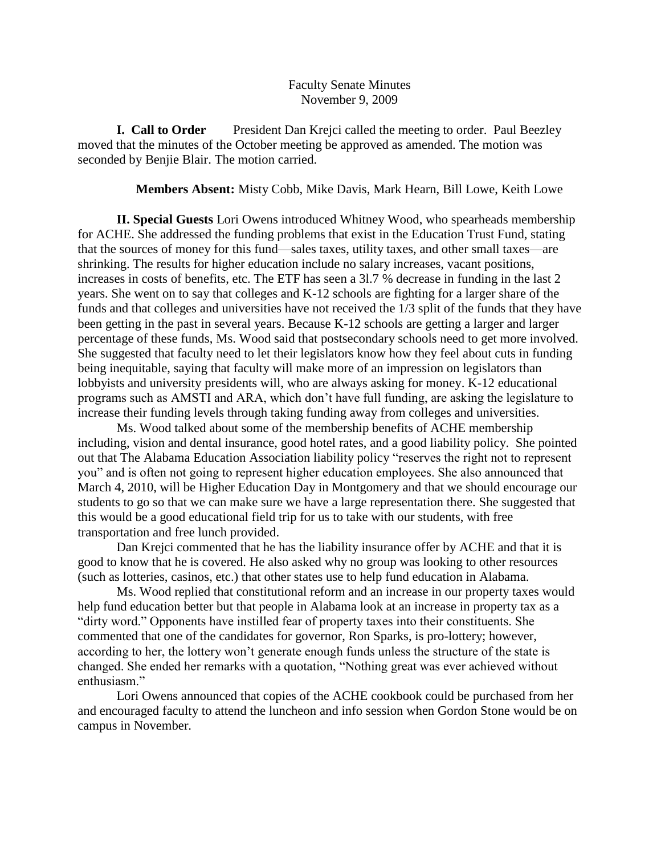## Faculty Senate Minutes November 9, 2009

**I. Call to Order** President Dan Krejci called the meeting to order. Paul Beezley moved that the minutes of the October meeting be approved as amended. The motion was seconded by Benjie Blair. The motion carried.

#### **Members Absent:** Misty Cobb, Mike Davis, Mark Hearn, Bill Lowe, Keith Lowe

**II. Special Guests** Lori Owens introduced Whitney Wood, who spearheads membership for ACHE. She addressed the funding problems that exist in the Education Trust Fund, stating that the sources of money for this fund—sales taxes, utility taxes, and other small taxes—are shrinking. The results for higher education include no salary increases, vacant positions, increases in costs of benefits, etc. The ETF has seen a 3l.7 % decrease in funding in the last 2 years. She went on to say that colleges and K-12 schools are fighting for a larger share of the funds and that colleges and universities have not received the 1/3 split of the funds that they have been getting in the past in several years. Because K-12 schools are getting a larger and larger percentage of these funds, Ms. Wood said that postsecondary schools need to get more involved. She suggested that faculty need to let their legislators know how they feel about cuts in funding being inequitable, saying that faculty will make more of an impression on legislators than lobbyists and university presidents will, who are always asking for money. K-12 educational programs such as AMSTI and ARA, which don't have full funding, are asking the legislature to increase their funding levels through taking funding away from colleges and universities.

Ms. Wood talked about some of the membership benefits of ACHE membership including, vision and dental insurance, good hotel rates, and a good liability policy. She pointed out that The Alabama Education Association liability policy "reserves the right not to represent you" and is often not going to represent higher education employees. She also announced that March 4, 2010, will be Higher Education Day in Montgomery and that we should encourage our students to go so that we can make sure we have a large representation there. She suggested that this would be a good educational field trip for us to take with our students, with free transportation and free lunch provided.

Dan Krejci commented that he has the liability insurance offer by ACHE and that it is good to know that he is covered. He also asked why no group was looking to other resources (such as lotteries, casinos, etc.) that other states use to help fund education in Alabama.

Ms. Wood replied that constitutional reform and an increase in our property taxes would help fund education better but that people in Alabama look at an increase in property tax as a "dirty word." Opponents have instilled fear of property taxes into their constituents. She commented that one of the candidates for governor, Ron Sparks, is pro-lottery; however, according to her, the lottery won't generate enough funds unless the structure of the state is changed. She ended her remarks with a quotation, "Nothing great was ever achieved without enthusiasm."

Lori Owens announced that copies of the ACHE cookbook could be purchased from her and encouraged faculty to attend the luncheon and info session when Gordon Stone would be on campus in November.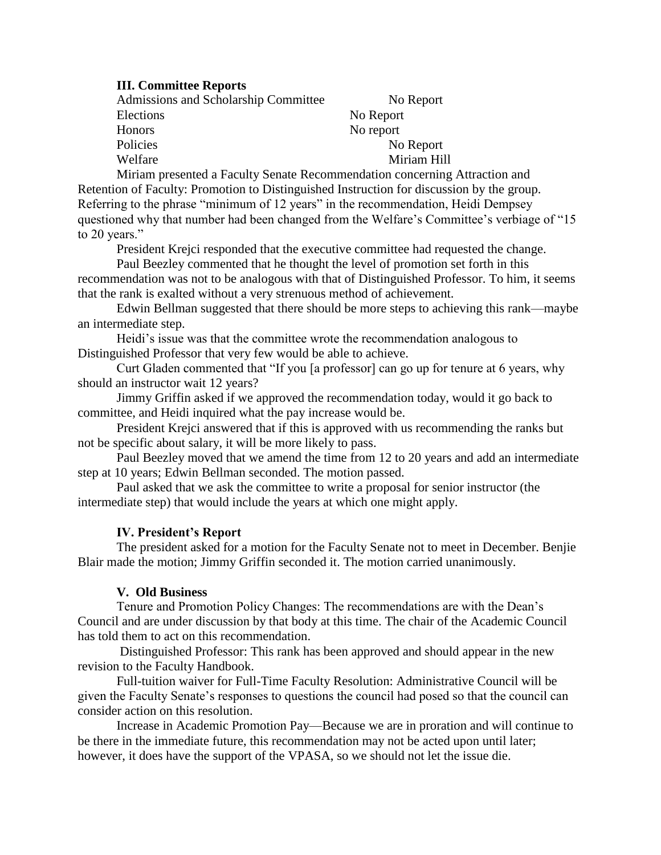## **III. Committee Reports**

| <b>Admissions and Scholarship Committee</b> | No Report   |
|---------------------------------------------|-------------|
| Elections                                   | No Report   |
| Honors                                      | No report   |
| Policies                                    | No Report   |
| Welfare                                     | Miriam Hill |

Miriam presented a Faculty Senate Recommendation concerning Attraction and Retention of Faculty: Promotion to Distinguished Instruction for discussion by the group. Referring to the phrase "minimum of 12 years" in the recommendation, Heidi Dempsey questioned why that number had been changed from the Welfare's Committee's verbiage of "15 to 20 years."

President Krejci responded that the executive committee had requested the change.

Paul Beezley commented that he thought the level of promotion set forth in this recommendation was not to be analogous with that of Distinguished Professor. To him, it seems that the rank is exalted without a very strenuous method of achievement.

Edwin Bellman suggested that there should be more steps to achieving this rank—maybe an intermediate step.

Heidi's issue was that the committee wrote the recommendation analogous to Distinguished Professor that very few would be able to achieve.

Curt Gladen commented that "If you [a professor] can go up for tenure at 6 years, why should an instructor wait 12 years?

Jimmy Griffin asked if we approved the recommendation today, would it go back to committee, and Heidi inquired what the pay increase would be.

President Krejci answered that if this is approved with us recommending the ranks but not be specific about salary, it will be more likely to pass.

Paul Beezley moved that we amend the time from 12 to 20 years and add an intermediate step at 10 years; Edwin Bellman seconded. The motion passed.

Paul asked that we ask the committee to write a proposal for senior instructor (the intermediate step) that would include the years at which one might apply.

## **IV. President's Report**

The president asked for a motion for the Faculty Senate not to meet in December. Benjie Blair made the motion; Jimmy Griffin seconded it. The motion carried unanimously.

#### **V. Old Business**

Tenure and Promotion Policy Changes: The recommendations are with the Dean's Council and are under discussion by that body at this time. The chair of the Academic Council has told them to act on this recommendation.

Distinguished Professor: This rank has been approved and should appear in the new revision to the Faculty Handbook.

Full-tuition waiver for Full-Time Faculty Resolution: Administrative Council will be given the Faculty Senate's responses to questions the council had posed so that the council can consider action on this resolution.

Increase in Academic Promotion Pay—Because we are in proration and will continue to be there in the immediate future, this recommendation may not be acted upon until later; however, it does have the support of the VPASA, so we should not let the issue die.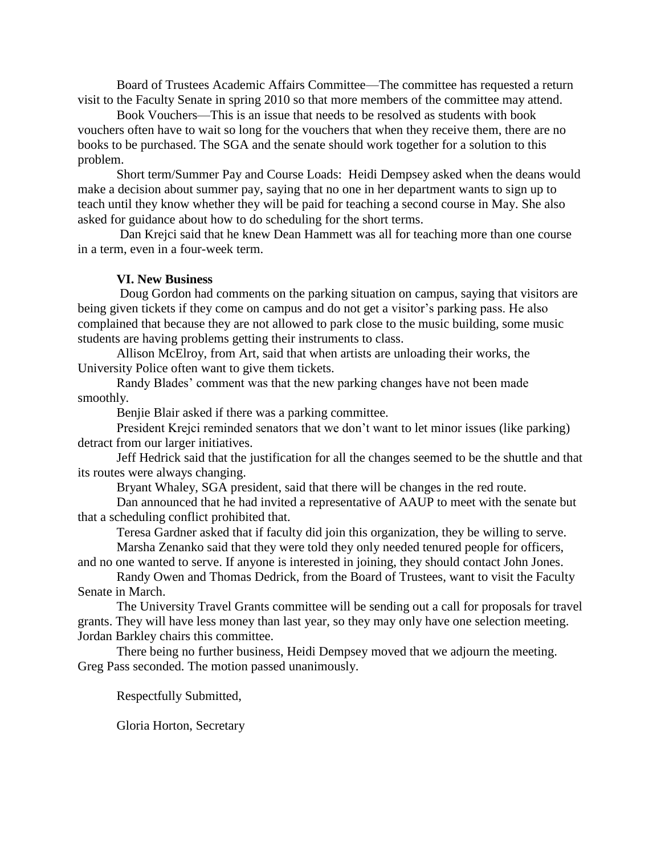Board of Trustees Academic Affairs Committee—The committee has requested a return visit to the Faculty Senate in spring 2010 so that more members of the committee may attend.

Book Vouchers—This is an issue that needs to be resolved as students with book vouchers often have to wait so long for the vouchers that when they receive them, there are no books to be purchased. The SGA and the senate should work together for a solution to this problem.

Short term/Summer Pay and Course Loads: Heidi Dempsey asked when the deans would make a decision about summer pay, saying that no one in her department wants to sign up to teach until they know whether they will be paid for teaching a second course in May. She also asked for guidance about how to do scheduling for the short terms.

Dan Krejci said that he knew Dean Hammett was all for teaching more than one course in a term, even in a four-week term.

### **VI. New Business**

Doug Gordon had comments on the parking situation on campus, saying that visitors are being given tickets if they come on campus and do not get a visitor's parking pass. He also complained that because they are not allowed to park close to the music building, some music students are having problems getting their instruments to class.

Allison McElroy, from Art, said that when artists are unloading their works, the University Police often want to give them tickets.

Randy Blades' comment was that the new parking changes have not been made smoothly.

Benjie Blair asked if there was a parking committee.

President Krejci reminded senators that we don't want to let minor issues (like parking) detract from our larger initiatives.

Jeff Hedrick said that the justification for all the changes seemed to be the shuttle and that its routes were always changing.

Bryant Whaley, SGA president, said that there will be changes in the red route.

Dan announced that he had invited a representative of AAUP to meet with the senate but that a scheduling conflict prohibited that.

Teresa Gardner asked that if faculty did join this organization, they be willing to serve. Marsha Zenanko said that they were told they only needed tenured people for officers,

and no one wanted to serve. If anyone is interested in joining, they should contact John Jones.

Randy Owen and Thomas Dedrick, from the Board of Trustees, want to visit the Faculty Senate in March.

The University Travel Grants committee will be sending out a call for proposals for travel grants. They will have less money than last year, so they may only have one selection meeting. Jordan Barkley chairs this committee.

There being no further business, Heidi Dempsey moved that we adjourn the meeting. Greg Pass seconded. The motion passed unanimously.

Respectfully Submitted,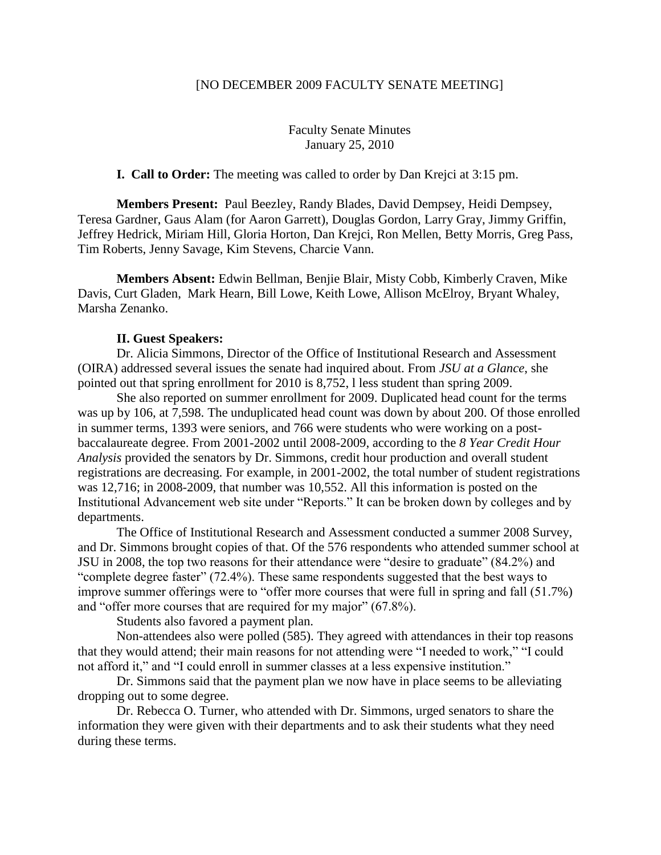#### [NO DECEMBER 2009 FACULTY SENATE MEETING]

Faculty Senate Minutes January 25, 2010

**I. Call to Order:** The meeting was called to order by Dan Krejci at 3:15 pm.

**Members Present:** Paul Beezley, Randy Blades, David Dempsey, Heidi Dempsey, Teresa Gardner, Gaus Alam (for Aaron Garrett), Douglas Gordon, Larry Gray, Jimmy Griffin, Jeffrey Hedrick, Miriam Hill, Gloria Horton, Dan Krejci, Ron Mellen, Betty Morris, Greg Pass, Tim Roberts, Jenny Savage, Kim Stevens, Charcie Vann.

**Members Absent:** Edwin Bellman, Benjie Blair, Misty Cobb, Kimberly Craven, Mike Davis, Curt Gladen, Mark Hearn, Bill Lowe, Keith Lowe, Allison McElroy, Bryant Whaley, Marsha Zenanko.

#### **II. Guest Speakers:**

Dr. Alicia Simmons, Director of the Office of Institutional Research and Assessment (OIRA) addressed several issues the senate had inquired about. From *JSU at a Glance*, she pointed out that spring enrollment for 2010 is 8,752, l less student than spring 2009.

She also reported on summer enrollment for 2009. Duplicated head count for the terms was up by 106, at 7,598. The unduplicated head count was down by about 200. Of those enrolled in summer terms, 1393 were seniors, and 766 were students who were working on a postbaccalaureate degree. From 2001-2002 until 2008-2009, according to the *8 Year Credit Hour Analysis* provided the senators by Dr. Simmons, credit hour production and overall student registrations are decreasing. For example, in 2001-2002, the total number of student registrations was 12,716; in 2008-2009, that number was 10,552. All this information is posted on the Institutional Advancement web site under "Reports." It can be broken down by colleges and by departments.

The Office of Institutional Research and Assessment conducted a summer 2008 Survey, and Dr. Simmons brought copies of that. Of the 576 respondents who attended summer school at JSU in 2008, the top two reasons for their attendance were "desire to graduate" (84.2%) and "complete degree faster" (72.4%). These same respondents suggested that the best ways to improve summer offerings were to "offer more courses that were full in spring and fall (51.7%) and "offer more courses that are required for my major" (67.8%).

Students also favored a payment plan.

Non-attendees also were polled (585). They agreed with attendances in their top reasons that they would attend; their main reasons for not attending were "I needed to work," "I could not afford it," and "I could enroll in summer classes at a less expensive institution."

Dr. Simmons said that the payment plan we now have in place seems to be alleviating dropping out to some degree.

Dr. Rebecca O. Turner, who attended with Dr. Simmons, urged senators to share the information they were given with their departments and to ask their students what they need during these terms.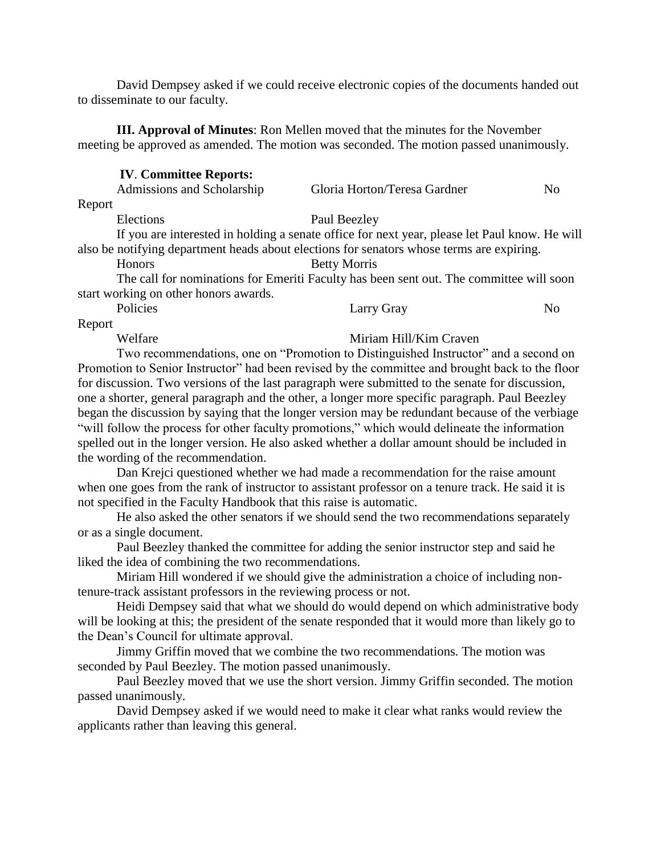David Dempsey asked if we could receive electronic copies of the documents handed out to disseminate to our faculty.

**III. Approval of Minutes**: Ron Mellen moved that the minutes for the November meeting be approved as amended. The motion was seconded. The motion passed unanimously.

#### **IV**. **Committee Reports:**

|        | Admissions and Scholarship                                                                                                                                                                                                    | Gloria Horton/Teresa Gardner                                                                  | Nο |
|--------|-------------------------------------------------------------------------------------------------------------------------------------------------------------------------------------------------------------------------------|-----------------------------------------------------------------------------------------------|----|
| Report |                                                                                                                                                                                                                               |                                                                                               |    |
|        | Elections                                                                                                                                                                                                                     | Paul Beezley                                                                                  |    |
|        |                                                                                                                                                                                                                               | If you are interested in holding a senate office for next year, please let Paul know. He will |    |
|        | . The contract of the contract of the contract of the contract of the contract of the contract of the contract of the contract of the contract of the contract of the contract of the contract of the contract of the contrac |                                                                                               |    |

also be notifying department heads about elections for senators whose terms are expiring.

Honors Betty Morris

The call for nominations for Emeriti Faculty has been sent out. The committee will soon start working on other honors awards.

Policies Larry Gray No

Report

## Welfare Miriam Hill/Kim Craven

Two recommendations, one on "Promotion to Distinguished Instructor" and a second on Promotion to Senior Instructor" had been revised by the committee and brought back to the floor for discussion. Two versions of the last paragraph were submitted to the senate for discussion, one a shorter, general paragraph and the other, a longer more specific paragraph. Paul Beezley began the discussion by saying that the longer version may be redundant because of the verbiage "will follow the process for other faculty promotions," which would delineate the information spelled out in the longer version. He also asked whether a dollar amount should be included in the wording of the recommendation.

Dan Krejci questioned whether we had made a recommendation for the raise amount when one goes from the rank of instructor to assistant professor on a tenure track. He said it is not specified in the Faculty Handbook that this raise is automatic.

He also asked the other senators if we should send the two recommendations separately or as a single document.

Paul Beezley thanked the committee for adding the senior instructor step and said he liked the idea of combining the two recommendations.

Miriam Hill wondered if we should give the administration a choice of including nontenure-track assistant professors in the reviewing process or not.

Heidi Dempsey said that what we should do would depend on which administrative body will be looking at this; the president of the senate responded that it would more than likely go to the Dean's Council for ultimate approval.

Jimmy Griffin moved that we combine the two recommendations. The motion was seconded by Paul Beezley. The motion passed unanimously.

Paul Beezley moved that we use the short version. Jimmy Griffin seconded. The motion passed unanimously.

David Dempsey asked if we would need to make it clear what ranks would review the applicants rather than leaving this general.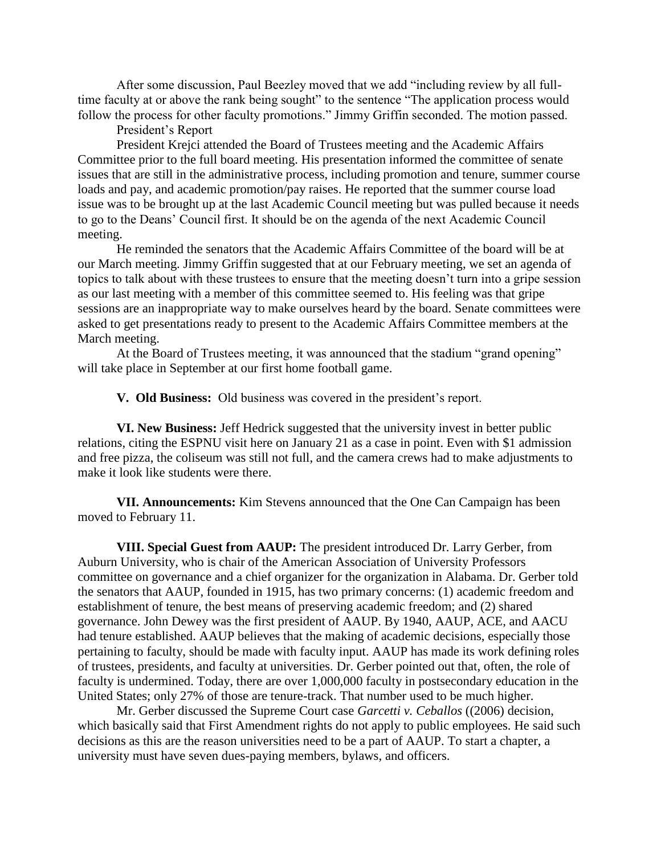After some discussion, Paul Beezley moved that we add "including review by all fulltime faculty at or above the rank being sought" to the sentence "The application process would follow the process for other faculty promotions." Jimmy Griffin seconded. The motion passed.

President's Report

President Krejci attended the Board of Trustees meeting and the Academic Affairs Committee prior to the full board meeting. His presentation informed the committee of senate issues that are still in the administrative process, including promotion and tenure, summer course loads and pay, and academic promotion/pay raises. He reported that the summer course load issue was to be brought up at the last Academic Council meeting but was pulled because it needs to go to the Deans' Council first. It should be on the agenda of the next Academic Council meeting.

He reminded the senators that the Academic Affairs Committee of the board will be at our March meeting. Jimmy Griffin suggested that at our February meeting, we set an agenda of topics to talk about with these trustees to ensure that the meeting doesn't turn into a gripe session as our last meeting with a member of this committee seemed to. His feeling was that gripe sessions are an inappropriate way to make ourselves heard by the board. Senate committees were asked to get presentations ready to present to the Academic Affairs Committee members at the March meeting.

At the Board of Trustees meeting, it was announced that the stadium "grand opening" will take place in September at our first home football game.

**V. Old Business:** Old business was covered in the president's report.

**VI. New Business:** Jeff Hedrick suggested that the university invest in better public relations, citing the ESPNU visit here on January 21 as a case in point. Even with \$1 admission and free pizza, the coliseum was still not full, and the camera crews had to make adjustments to make it look like students were there.

**VII. Announcements:** Kim Stevens announced that the One Can Campaign has been moved to February 11.

**VIII. Special Guest from AAUP:** The president introduced Dr. Larry Gerber, from Auburn University, who is chair of the American Association of University Professors committee on governance and a chief organizer for the organization in Alabama. Dr. Gerber told the senators that AAUP, founded in 1915, has two primary concerns: (1) academic freedom and establishment of tenure, the best means of preserving academic freedom; and (2) shared governance. John Dewey was the first president of AAUP. By 1940, AAUP, ACE, and AACU had tenure established. AAUP believes that the making of academic decisions, especially those pertaining to faculty, should be made with faculty input. AAUP has made its work defining roles of trustees, presidents, and faculty at universities. Dr. Gerber pointed out that, often, the role of faculty is undermined. Today, there are over 1,000,000 faculty in postsecondary education in the United States; only 27% of those are tenure-track. That number used to be much higher.

Mr. Gerber discussed the Supreme Court case *Garcetti v. Ceballos* ((2006) decision, which basically said that First Amendment rights do not apply to public employees. He said such decisions as this are the reason universities need to be a part of AAUP. To start a chapter, a university must have seven dues-paying members, bylaws, and officers.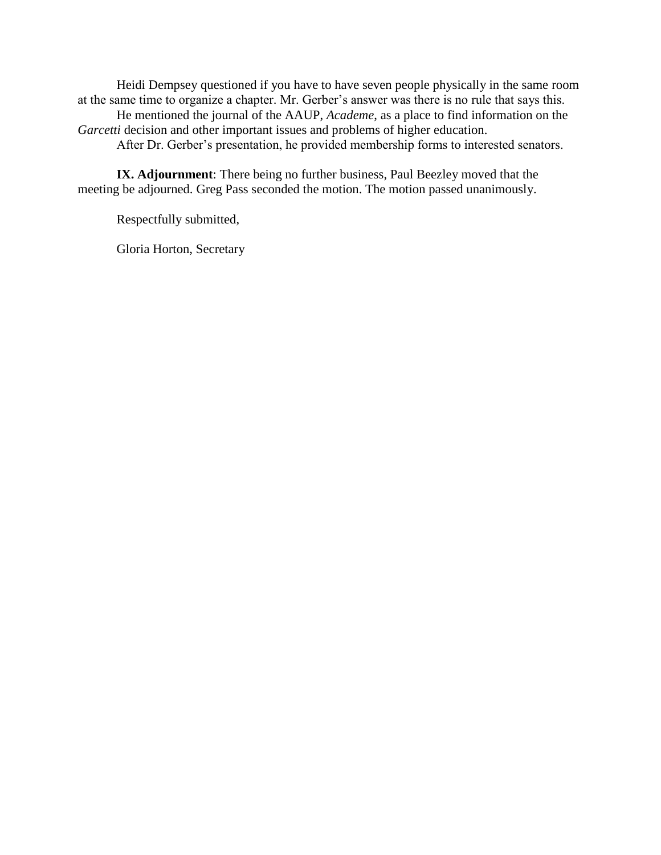Heidi Dempsey questioned if you have to have seven people physically in the same room at the same time to organize a chapter. Mr. Gerber's answer was there is no rule that says this.

He mentioned the journal of the AAUP, *Academe*, as a place to find information on the Garcetti decision and other important issues and problems of higher education.

After Dr. Gerber's presentation, he provided membership forms to interested senators.

**IX. Adjournment**: There being no further business, Paul Beezley moved that the meeting be adjourned. Greg Pass seconded the motion. The motion passed unanimously.

Respectfully submitted,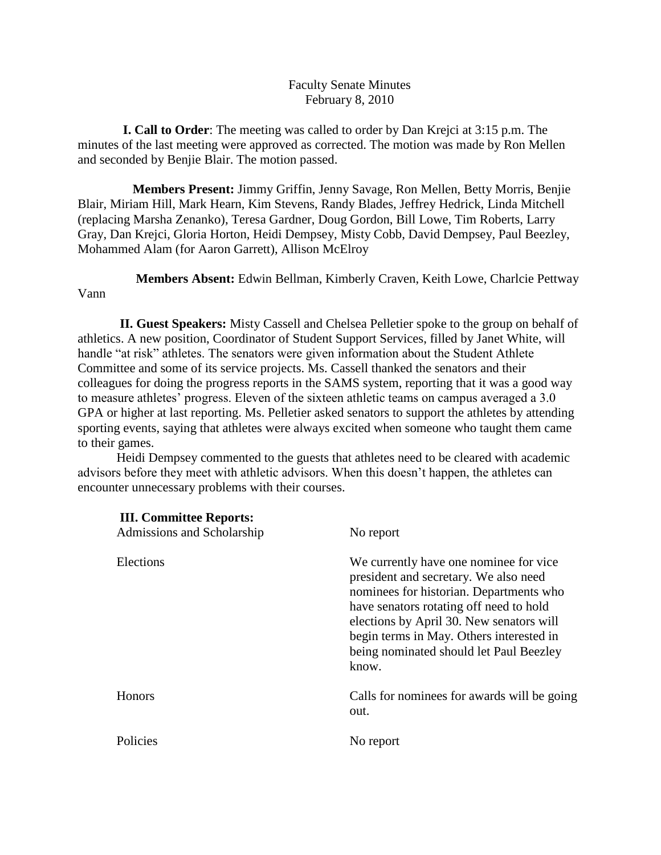## Faculty Senate Minutes February 8, 2010

 **I. Call to Order**: The meeting was called to order by Dan Krejci at 3:15 p.m. The minutes of the last meeting were approved as corrected. The motion was made by Ron Mellen and seconded by Benjie Blair. The motion passed.

 **Members Present:** Jimmy Griffin, Jenny Savage, Ron Mellen, Betty Morris, Benjie Blair, Miriam Hill, Mark Hearn, Kim Stevens, Randy Blades, Jeffrey Hedrick, Linda Mitchell (replacing Marsha Zenanko), Teresa Gardner, Doug Gordon, Bill Lowe, Tim Roberts, Larry Gray, Dan Krejci, Gloria Horton, Heidi Dempsey, Misty Cobb, David Dempsey, Paul Beezley, Mohammed Alam (for Aaron Garrett), Allison McElroy

 **Members Absent:** Edwin Bellman, Kimberly Craven, Keith Lowe, Charlcie Pettway Vann

**II. Guest Speakers:** Misty Cassell and Chelsea Pelletier spoke to the group on behalf of athletics. A new position, Coordinator of Student Support Services, filled by Janet White, will handle "at risk" athletes. The senators were given information about the Student Athlete Committee and some of its service projects. Ms. Cassell thanked the senators and their colleagues for doing the progress reports in the SAMS system, reporting that it was a good way to measure athletes' progress. Eleven of the sixteen athletic teams on campus averaged a 3.0 GPA or higher at last reporting. Ms. Pelletier asked senators to support the athletes by attending sporting events, saying that athletes were always excited when someone who taught them came to their games.

Heidi Dempsey commented to the guests that athletes need to be cleared with academic advisors before they meet with athletic advisors. When this doesn't happen, the athletes can encounter unnecessary problems with their courses.

| <b>III. Committee Reports:</b><br>Admissions and Scholarship | No report                                                                                                                                                                                                                                                                                                         |
|--------------------------------------------------------------|-------------------------------------------------------------------------------------------------------------------------------------------------------------------------------------------------------------------------------------------------------------------------------------------------------------------|
| Elections                                                    | We currently have one nominee for vice<br>president and secretary. We also need<br>nominees for historian. Departments who<br>have senators rotating off need to hold<br>elections by April 30. New senators will<br>begin terms in May. Others interested in<br>being nominated should let Paul Beezley<br>know. |
| Honors                                                       | Calls for nominees for awards will be going<br>out.                                                                                                                                                                                                                                                               |
| Policies                                                     | No report                                                                                                                                                                                                                                                                                                         |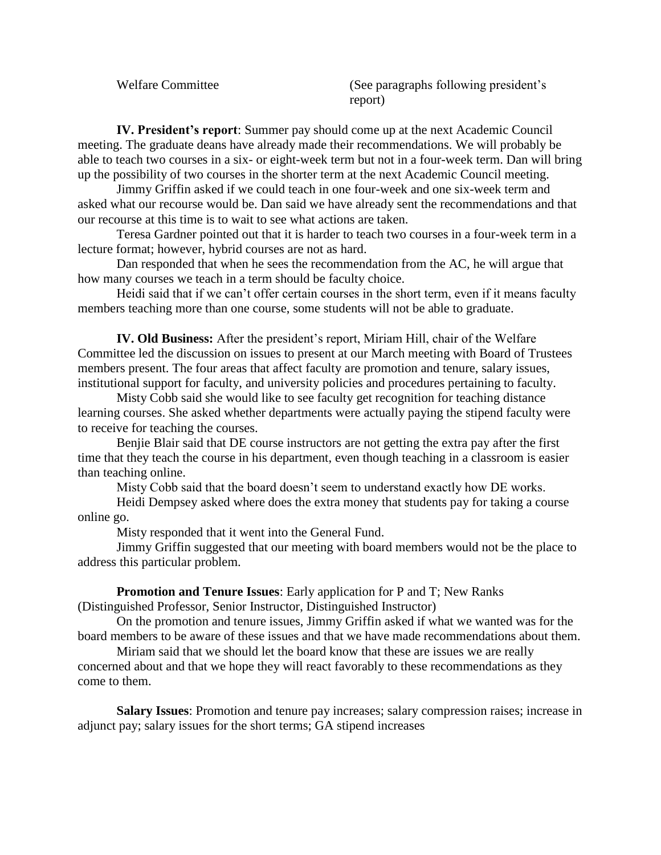Welfare Committee (See paragraphs following president's report)

**IV. President's report**: Summer pay should come up at the next Academic Council meeting. The graduate deans have already made their recommendations. We will probably be able to teach two courses in a six- or eight-week term but not in a four-week term. Dan will bring up the possibility of two courses in the shorter term at the next Academic Council meeting.

Jimmy Griffin asked if we could teach in one four-week and one six-week term and asked what our recourse would be. Dan said we have already sent the recommendations and that our recourse at this time is to wait to see what actions are taken.

Teresa Gardner pointed out that it is harder to teach two courses in a four-week term in a lecture format; however, hybrid courses are not as hard.

Dan responded that when he sees the recommendation from the AC, he will argue that how many courses we teach in a term should be faculty choice.

Heidi said that if we can't offer certain courses in the short term, even if it means faculty members teaching more than one course, some students will not be able to graduate.

**IV. Old Business:** After the president's report, Miriam Hill, chair of the Welfare Committee led the discussion on issues to present at our March meeting with Board of Trustees members present. The four areas that affect faculty are promotion and tenure, salary issues, institutional support for faculty, and university policies and procedures pertaining to faculty.

Misty Cobb said she would like to see faculty get recognition for teaching distance learning courses. She asked whether departments were actually paying the stipend faculty were to receive for teaching the courses.

Benjie Blair said that DE course instructors are not getting the extra pay after the first time that they teach the course in his department, even though teaching in a classroom is easier than teaching online.

Misty Cobb said that the board doesn't seem to understand exactly how DE works.

Heidi Dempsey asked where does the extra money that students pay for taking a course online go.

Misty responded that it went into the General Fund.

Jimmy Griffin suggested that our meeting with board members would not be the place to address this particular problem.

**Promotion and Tenure Issues**: Early application for P and T; New Ranks (Distinguished Professor, Senior Instructor, Distinguished Instructor)

On the promotion and tenure issues, Jimmy Griffin asked if what we wanted was for the board members to be aware of these issues and that we have made recommendations about them.

Miriam said that we should let the board know that these are issues we are really concerned about and that we hope they will react favorably to these recommendations as they come to them.

**Salary Issues**: Promotion and tenure pay increases; salary compression raises; increase in adjunct pay; salary issues for the short terms; GA stipend increases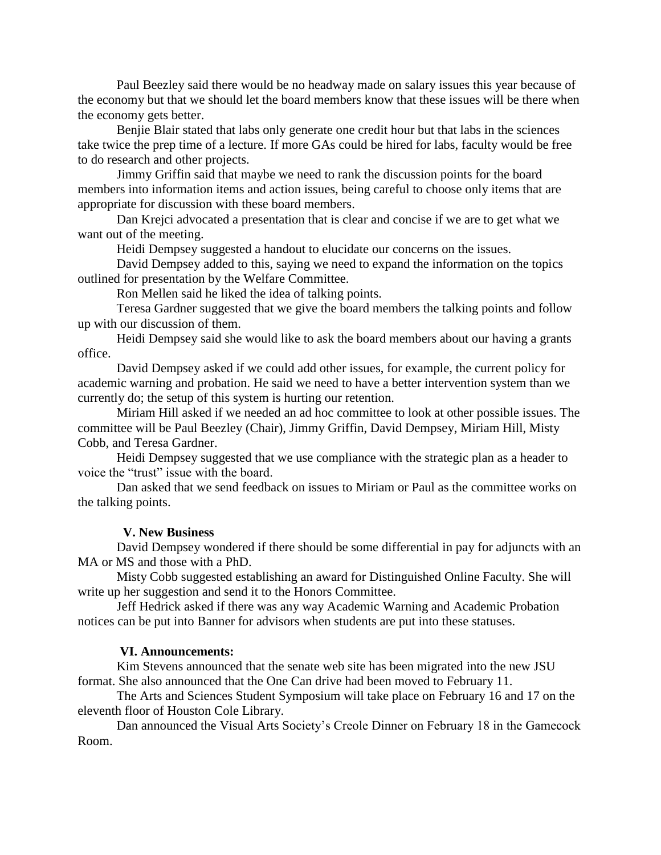Paul Beezley said there would be no headway made on salary issues this year because of the economy but that we should let the board members know that these issues will be there when the economy gets better.

Benjie Blair stated that labs only generate one credit hour but that labs in the sciences take twice the prep time of a lecture. If more GAs could be hired for labs, faculty would be free to do research and other projects.

Jimmy Griffin said that maybe we need to rank the discussion points for the board members into information items and action issues, being careful to choose only items that are appropriate for discussion with these board members.

Dan Krejci advocated a presentation that is clear and concise if we are to get what we want out of the meeting.

Heidi Dempsey suggested a handout to elucidate our concerns on the issues.

David Dempsey added to this, saying we need to expand the information on the topics outlined for presentation by the Welfare Committee.

Ron Mellen said he liked the idea of talking points.

Teresa Gardner suggested that we give the board members the talking points and follow up with our discussion of them.

Heidi Dempsey said she would like to ask the board members about our having a grants office.

David Dempsey asked if we could add other issues, for example, the current policy for academic warning and probation. He said we need to have a better intervention system than we currently do; the setup of this system is hurting our retention.

Miriam Hill asked if we needed an ad hoc committee to look at other possible issues. The committee will be Paul Beezley (Chair), Jimmy Griffin, David Dempsey, Miriam Hill, Misty Cobb, and Teresa Gardner.

Heidi Dempsey suggested that we use compliance with the strategic plan as a header to voice the "trust" issue with the board.

Dan asked that we send feedback on issues to Miriam or Paul as the committee works on the talking points.

#### **V. New Business**

David Dempsey wondered if there should be some differential in pay for adjuncts with an MA or MS and those with a PhD.

Misty Cobb suggested establishing an award for Distinguished Online Faculty. She will write up her suggestion and send it to the Honors Committee.

Jeff Hedrick asked if there was any way Academic Warning and Academic Probation notices can be put into Banner for advisors when students are put into these statuses.

#### **VI. Announcements:**

Kim Stevens announced that the senate web site has been migrated into the new JSU format. She also announced that the One Can drive had been moved to February 11.

The Arts and Sciences Student Symposium will take place on February 16 and 17 on the eleventh floor of Houston Cole Library.

Dan announced the Visual Arts Society's Creole Dinner on February 18 in the Gamecock Room.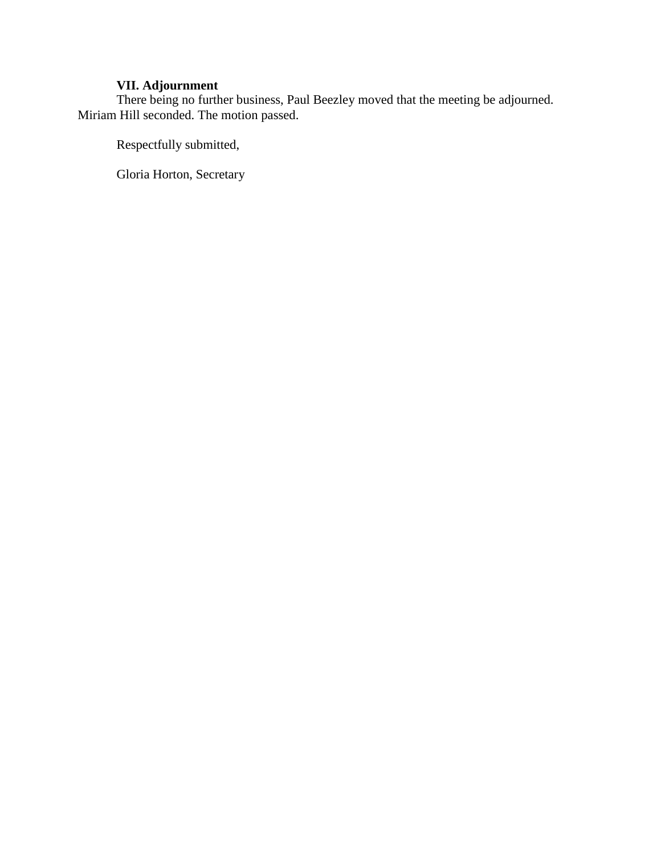## **VII. Adjournment**

There being no further business, Paul Beezley moved that the meeting be adjourned. Miriam Hill seconded. The motion passed.

Respectfully submitted,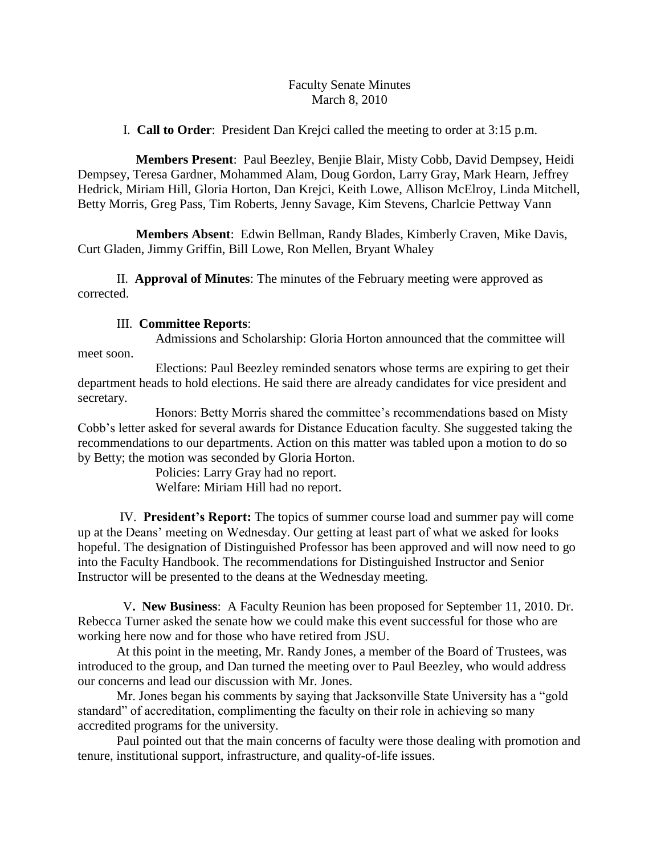## Faculty Senate Minutes March 8, 2010

I. **Call to Order**: President Dan Krejci called the meeting to order at 3:15 p.m.

 **Members Present**: Paul Beezley, Benjie Blair, Misty Cobb, David Dempsey, Heidi Dempsey, Teresa Gardner, Mohammed Alam, Doug Gordon, Larry Gray, Mark Hearn, Jeffrey Hedrick, Miriam Hill, Gloria Horton, Dan Krejci, Keith Lowe, Allison McElroy, Linda Mitchell, Betty Morris, Greg Pass, Tim Roberts, Jenny Savage, Kim Stevens, Charlcie Pettway Vann

 **Members Absent**: Edwin Bellman, Randy Blades, Kimberly Craven, Mike Davis, Curt Gladen, Jimmy Griffin, Bill Lowe, Ron Mellen, Bryant Whaley

II. **Approval of Minutes**: The minutes of the February meeting were approved as corrected.

## III. **Committee Reports**:

Admissions and Scholarship: Gloria Horton announced that the committee will meet soon.

Elections: Paul Beezley reminded senators whose terms are expiring to get their department heads to hold elections. He said there are already candidates for vice president and secretary.

Honors: Betty Morris shared the committee's recommendations based on Misty Cobb's letter asked for several awards for Distance Education faculty. She suggested taking the recommendations to our departments. Action on this matter was tabled upon a motion to do so by Betty; the motion was seconded by Gloria Horton.

> Policies: Larry Gray had no report. Welfare: Miriam Hill had no report.

IV. **President's Report:** The topics of summer course load and summer pay will come up at the Deans' meeting on Wednesday. Our getting at least part of what we asked for looks hopeful. The designation of Distinguished Professor has been approved and will now need to go into the Faculty Handbook. The recommendations for Distinguished Instructor and Senior Instructor will be presented to the deans at the Wednesday meeting.

 V**. New Business**: A Faculty Reunion has been proposed for September 11, 2010. Dr. Rebecca Turner asked the senate how we could make this event successful for those who are working here now and for those who have retired from JSU.

At this point in the meeting, Mr. Randy Jones, a member of the Board of Trustees, was introduced to the group, and Dan turned the meeting over to Paul Beezley, who would address our concerns and lead our discussion with Mr. Jones.

Mr. Jones began his comments by saying that Jacksonville State University has a "gold standard" of accreditation, complimenting the faculty on their role in achieving so many accredited programs for the university.

Paul pointed out that the main concerns of faculty were those dealing with promotion and tenure, institutional support, infrastructure, and quality-of-life issues.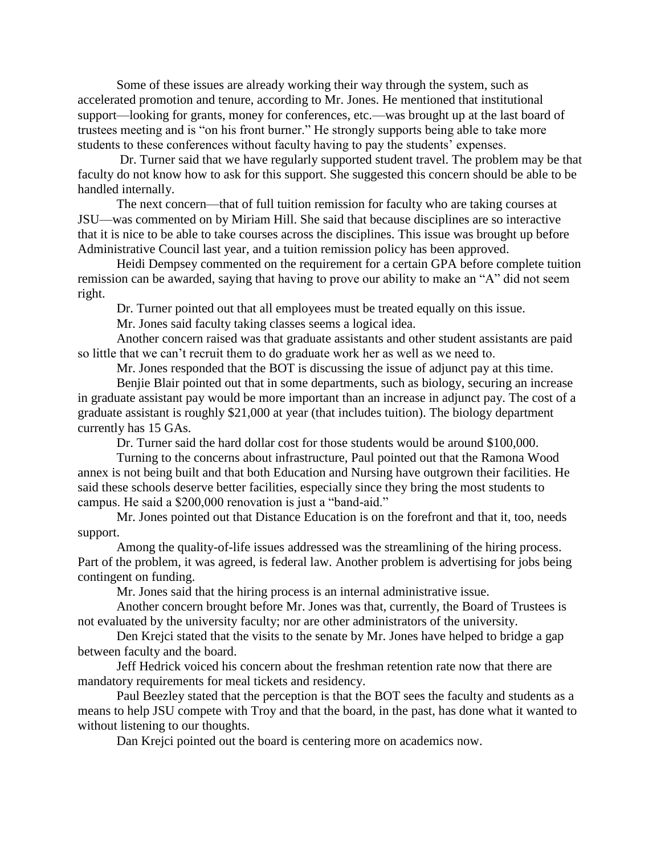Some of these issues are already working their way through the system, such as accelerated promotion and tenure, according to Mr. Jones. He mentioned that institutional support—looking for grants, money for conferences, etc.—was brought up at the last board of trustees meeting and is "on his front burner." He strongly supports being able to take more students to these conferences without faculty having to pay the students' expenses.

Dr. Turner said that we have regularly supported student travel. The problem may be that faculty do not know how to ask for this support. She suggested this concern should be able to be handled internally.

The next concern—that of full tuition remission for faculty who are taking courses at JSU—was commented on by Miriam Hill. She said that because disciplines are so interactive that it is nice to be able to take courses across the disciplines. This issue was brought up before Administrative Council last year, and a tuition remission policy has been approved.

Heidi Dempsey commented on the requirement for a certain GPA before complete tuition remission can be awarded, saying that having to prove our ability to make an "A" did not seem right.

Dr. Turner pointed out that all employees must be treated equally on this issue.

Mr. Jones said faculty taking classes seems a logical idea.

Another concern raised was that graduate assistants and other student assistants are paid so little that we can't recruit them to do graduate work her as well as we need to.

Mr. Jones responded that the BOT is discussing the issue of adjunct pay at this time. Benjie Blair pointed out that in some departments, such as biology, securing an increase in graduate assistant pay would be more important than an increase in adjunct pay. The cost of a graduate assistant is roughly \$21,000 at year (that includes tuition). The biology department currently has 15 GAs.

Dr. Turner said the hard dollar cost for those students would be around \$100,000.

Turning to the concerns about infrastructure, Paul pointed out that the Ramona Wood annex is not being built and that both Education and Nursing have outgrown their facilities. He said these schools deserve better facilities, especially since they bring the most students to campus. He said a \$200,000 renovation is just a "band-aid."

Mr. Jones pointed out that Distance Education is on the forefront and that it, too, needs support.

Among the quality-of-life issues addressed was the streamlining of the hiring process. Part of the problem, it was agreed, is federal law. Another problem is advertising for jobs being contingent on funding.

Mr. Jones said that the hiring process is an internal administrative issue.

Another concern brought before Mr. Jones was that, currently, the Board of Trustees is not evaluated by the university faculty; nor are other administrators of the university.

Den Krejci stated that the visits to the senate by Mr. Jones have helped to bridge a gap between faculty and the board.

Jeff Hedrick voiced his concern about the freshman retention rate now that there are mandatory requirements for meal tickets and residency.

Paul Beezley stated that the perception is that the BOT sees the faculty and students as a means to help JSU compete with Troy and that the board, in the past, has done what it wanted to without listening to our thoughts.

Dan Krejci pointed out the board is centering more on academics now.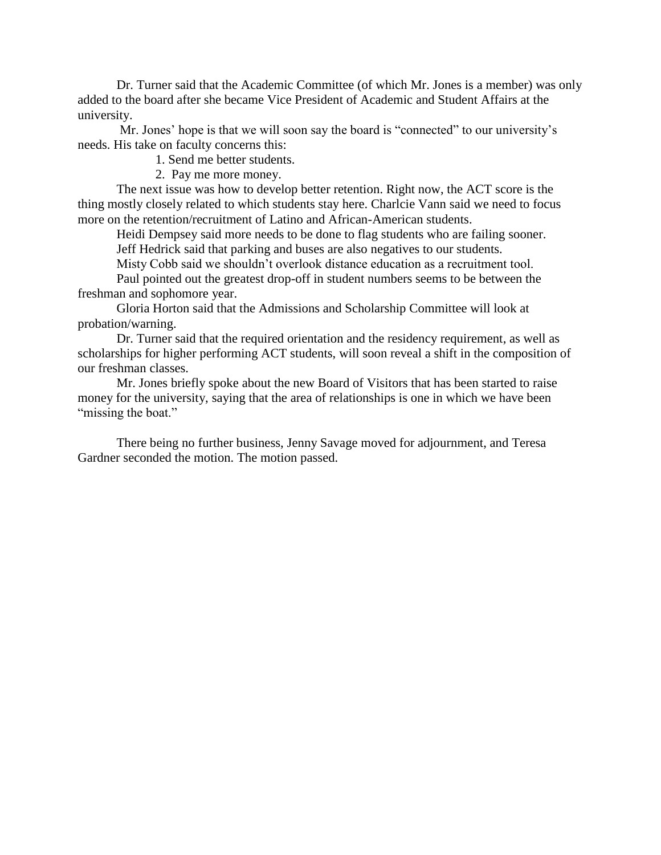Dr. Turner said that the Academic Committee (of which Mr. Jones is a member) was only added to the board after she became Vice President of Academic and Student Affairs at the university.

Mr. Jones' hope is that we will soon say the board is "connected" to our university's needs. His take on faculty concerns this:

1. Send me better students.

2. Pay me more money.

The next issue was how to develop better retention. Right now, the ACT score is the thing mostly closely related to which students stay here. Charlcie Vann said we need to focus more on the retention/recruitment of Latino and African-American students.

Heidi Dempsey said more needs to be done to flag students who are failing sooner. Jeff Hedrick said that parking and buses are also negatives to our students.

Misty Cobb said we shouldn't overlook distance education as a recruitment tool.

Paul pointed out the greatest drop-off in student numbers seems to be between the freshman and sophomore year.

Gloria Horton said that the Admissions and Scholarship Committee will look at probation/warning.

Dr. Turner said that the required orientation and the residency requirement, as well as scholarships for higher performing ACT students, will soon reveal a shift in the composition of our freshman classes.

Mr. Jones briefly spoke about the new Board of Visitors that has been started to raise money for the university, saying that the area of relationships is one in which we have been "missing the boat."

There being no further business, Jenny Savage moved for adjournment, and Teresa Gardner seconded the motion. The motion passed.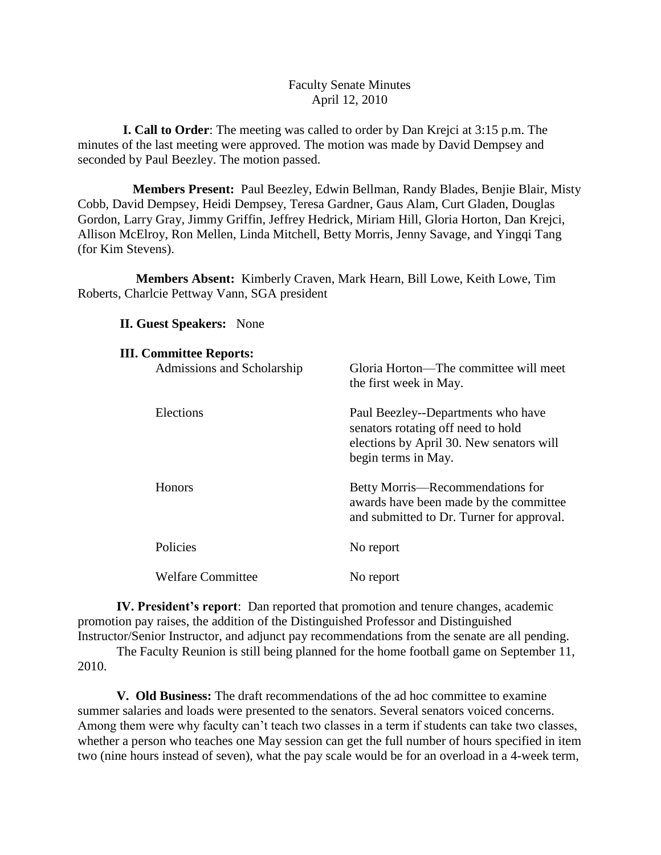## Faculty Senate Minutes April 12, 2010

 **I. Call to Order**: The meeting was called to order by Dan Krejci at 3:15 p.m. The minutes of the last meeting were approved. The motion was made by David Dempsey and seconded by Paul Beezley. The motion passed.

 **Members Present:** Paul Beezley, Edwin Bellman, Randy Blades, Benjie Blair, Misty Cobb, David Dempsey, Heidi Dempsey, Teresa Gardner, Gaus Alam, Curt Gladen, Douglas Gordon, Larry Gray, Jimmy Griffin, Jeffrey Hedrick, Miriam Hill, Gloria Horton, Dan Krejci, Allison McElroy, Ron Mellen, Linda Mitchell, Betty Morris, Jenny Savage, and Yingqi Tang (for Kim Stevens).

 **Members Absent:** Kimberly Craven, Mark Hearn, Bill Lowe, Keith Lowe, Tim Roberts, Charlcie Pettway Vann, SGA president

**II. Guest Speakers:** None

| <b>III. Committee Reports:</b> |                                                                                                                                             |
|--------------------------------|---------------------------------------------------------------------------------------------------------------------------------------------|
| Admissions and Scholarship     | Gloria Horton—The committee will meet<br>the first week in May.                                                                             |
| Elections                      | Paul Beezley--Departments who have<br>senators rotating off need to hold<br>elections by April 30. New senators will<br>begin terms in May. |
| <b>Honors</b>                  | Betty Morris—Recommendations for<br>awards have been made by the committee<br>and submitted to Dr. Turner for approval.                     |
| Policies                       | No report                                                                                                                                   |
| <b>Welfare Committee</b>       | No report                                                                                                                                   |

**IV. President's report**: Dan reported that promotion and tenure changes, academic promotion pay raises, the addition of the Distinguished Professor and Distinguished Instructor/Senior Instructor, and adjunct pay recommendations from the senate are all pending.

The Faculty Reunion is still being planned for the home football game on September 11, 2010.

**V. Old Business:** The draft recommendations of the ad hoc committee to examine summer salaries and loads were presented to the senators. Several senators voiced concerns. Among them were why faculty can't teach two classes in a term if students can take two classes, whether a person who teaches one May session can get the full number of hours specified in item two (nine hours instead of seven), what the pay scale would be for an overload in a 4-week term,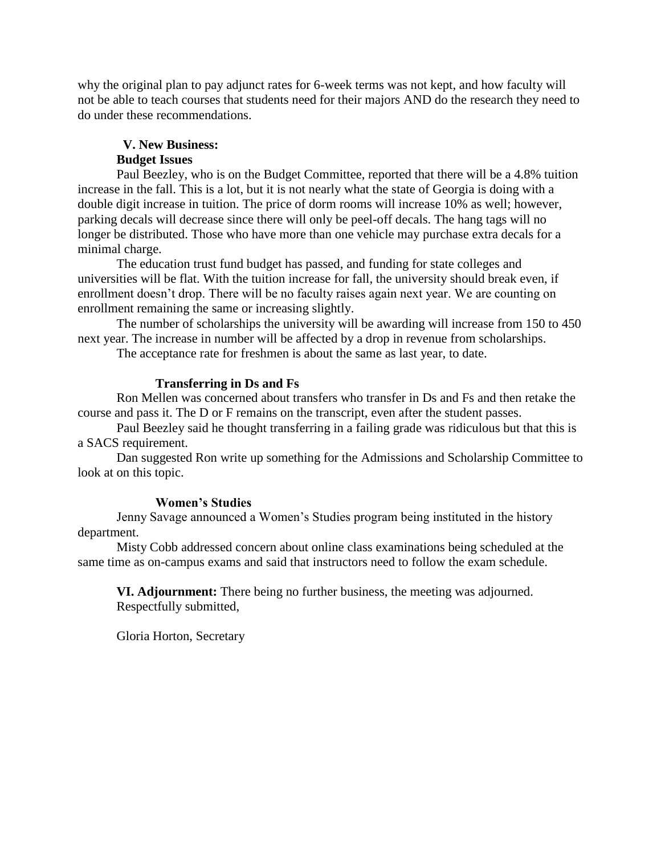why the original plan to pay adjunct rates for 6-week terms was not kept, and how faculty will not be able to teach courses that students need for their majors AND do the research they need to do under these recommendations.

#### **V. New Business:**

#### **Budget Issues**

Paul Beezley, who is on the Budget Committee, reported that there will be a 4.8% tuition increase in the fall. This is a lot, but it is not nearly what the state of Georgia is doing with a double digit increase in tuition. The price of dorm rooms will increase 10% as well; however, parking decals will decrease since there will only be peel-off decals. The hang tags will no longer be distributed. Those who have more than one vehicle may purchase extra decals for a minimal charge.

The education trust fund budget has passed, and funding for state colleges and universities will be flat. With the tuition increase for fall, the university should break even, if enrollment doesn't drop. There will be no faculty raises again next year. We are counting on enrollment remaining the same or increasing slightly.

The number of scholarships the university will be awarding will increase from 150 to 450 next year. The increase in number will be affected by a drop in revenue from scholarships.

The acceptance rate for freshmen is about the same as last year, to date.

### **Transferring in Ds and Fs**

Ron Mellen was concerned about transfers who transfer in Ds and Fs and then retake the course and pass it. The D or F remains on the transcript, even after the student passes.

Paul Beezley said he thought transferring in a failing grade was ridiculous but that this is a SACS requirement.

Dan suggested Ron write up something for the Admissions and Scholarship Committee to look at on this topic.

#### **Women's Studies**

Jenny Savage announced a Women's Studies program being instituted in the history department.

Misty Cobb addressed concern about online class examinations being scheduled at the same time as on-campus exams and said that instructors need to follow the exam schedule.

**VI. Adjournment:** There being no further business, the meeting was adjourned. Respectfully submitted,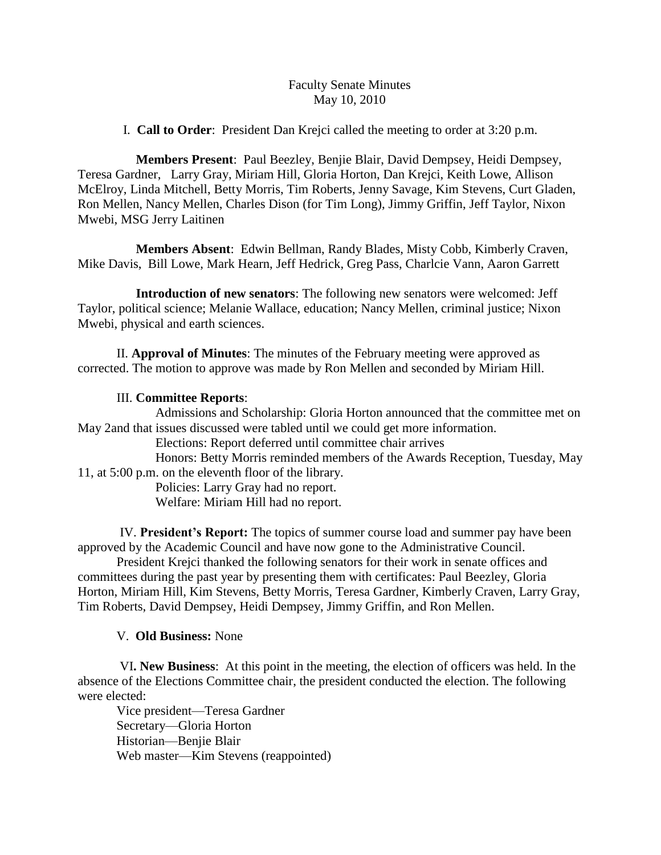## Faculty Senate Minutes May 10, 2010

I. **Call to Order**: President Dan Krejci called the meeting to order at 3:20 p.m.

 **Members Present**: Paul Beezley, Benjie Blair, David Dempsey, Heidi Dempsey, Teresa Gardner, Larry Gray, Miriam Hill, Gloria Horton, Dan Krejci, Keith Lowe, Allison McElroy, Linda Mitchell, Betty Morris, Tim Roberts, Jenny Savage, Kim Stevens, Curt Gladen, Ron Mellen, Nancy Mellen, Charles Dison (for Tim Long), Jimmy Griffin, Jeff Taylor, Nixon Mwebi, MSG Jerry Laitinen

 **Members Absent**: Edwin Bellman, Randy Blades, Misty Cobb, Kimberly Craven, Mike Davis, Bill Lowe, Mark Hearn, Jeff Hedrick, Greg Pass, Charlcie Vann, Aaron Garrett

 **Introduction of new senators**: The following new senators were welcomed: Jeff Taylor, political science; Melanie Wallace, education; Nancy Mellen, criminal justice; Nixon Mwebi, physical and earth sciences.

II. **Approval of Minutes**: The minutes of the February meeting were approved as corrected. The motion to approve was made by Ron Mellen and seconded by Miriam Hill.

## III. **Committee Reports**:

Admissions and Scholarship: Gloria Horton announced that the committee met on May 2and that issues discussed were tabled until we could get more information.

Elections: Report deferred until committee chair arrives

Honors: Betty Morris reminded members of the Awards Reception, Tuesday, May 11, at 5:00 p.m. on the eleventh floor of the library.

Policies: Larry Gray had no report.

Welfare: Miriam Hill had no report.

IV. **President's Report:** The topics of summer course load and summer pay have been approved by the Academic Council and have now gone to the Administrative Council.

President Krejci thanked the following senators for their work in senate offices and committees during the past year by presenting them with certificates: Paul Beezley, Gloria Horton, Miriam Hill, Kim Stevens, Betty Morris, Teresa Gardner, Kimberly Craven, Larry Gray, Tim Roberts, David Dempsey, Heidi Dempsey, Jimmy Griffin, and Ron Mellen.

V. **Old Business:** None

VI**. New Business**: At this point in the meeting, the election of officers was held. In the absence of the Elections Committee chair, the president conducted the election. The following were elected:

Vice president—Teresa Gardner Secretary—Gloria Horton Historian—Benjie Blair Web master—Kim Stevens (reappointed)